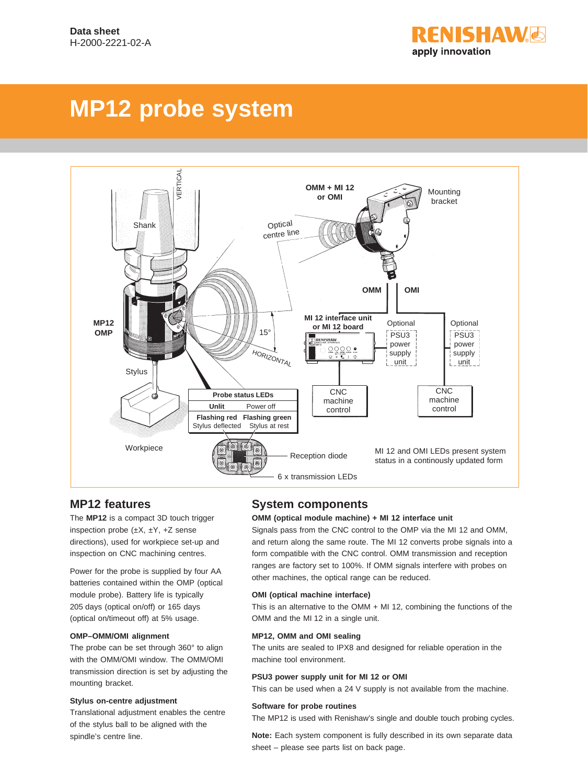

# **MP12 probe system**



# **MP12 features**

The **MP12** is a compact 3D touch trigger inspection probe  $(\pm X, \pm Y, +Z)$  sense directions), used for workpiece set-up and inspection on CNC machining centres.

Power for the probe is supplied by four AA batteries contained within the OMP (optical module probe). Battery life is typically 205 days (optical on/off) or 165 days (optical on/timeout off) at 5% usage.

#### **OMP–OMM/OMI alignment**

The probe can be set through 360° to align with the OMM/OMI window. The OMM/OMI transmission direction is set by adjusting the mounting bracket.

#### **Stylus on-centre adjustment**

Translational adjustment enables the centre of the stylus ball to be aligned with the spindle's centre line.

# **System components**

#### **OMM (optical module machine) + MI 12 interface unit**

Signals pass from the CNC control to the OMP via the MI 12 and OMM, and return along the same route. The MI 12 converts probe signals into a form compatible with the CNC control. OMM transmission and reception ranges are factory set to 100%. If OMM signals interfere with probes on other machines, the optical range can be reduced.

#### **OMI (optical machine interface)**

This is an alternative to the OMM + MI 12, combining the functions of the OMM and the MI 12 in a single unit.

#### **MP12, OMM and OMI sealing**

The units are sealed to IPX8 and designed for reliable operation in the machine tool environment.

#### **PSU3 power supply unit for MI 12 or OMI**

This can be used when a 24 V supply is not available from the machine.

#### **Software for probe routines**

The MP12 is used with Renishaw's single and double touch probing cycles.

**Note:** Each system component is fully described in its own separate data sheet – please see parts list on back page.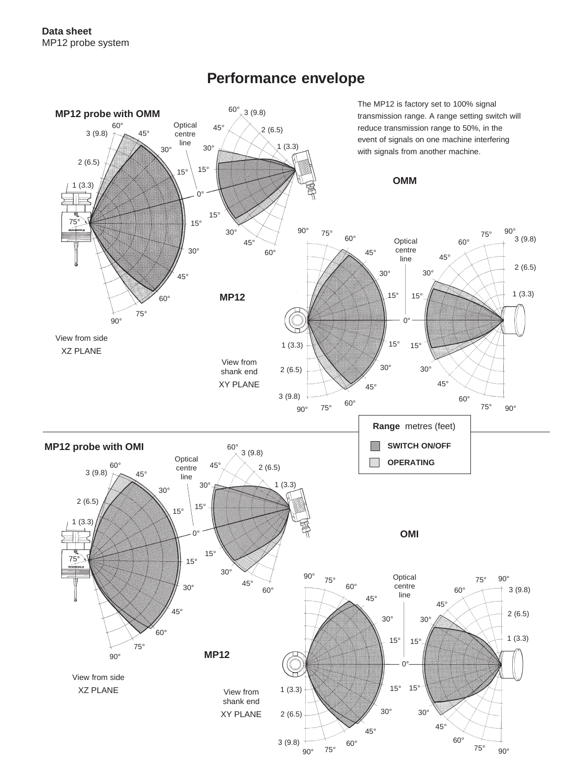

# **Performance envelope**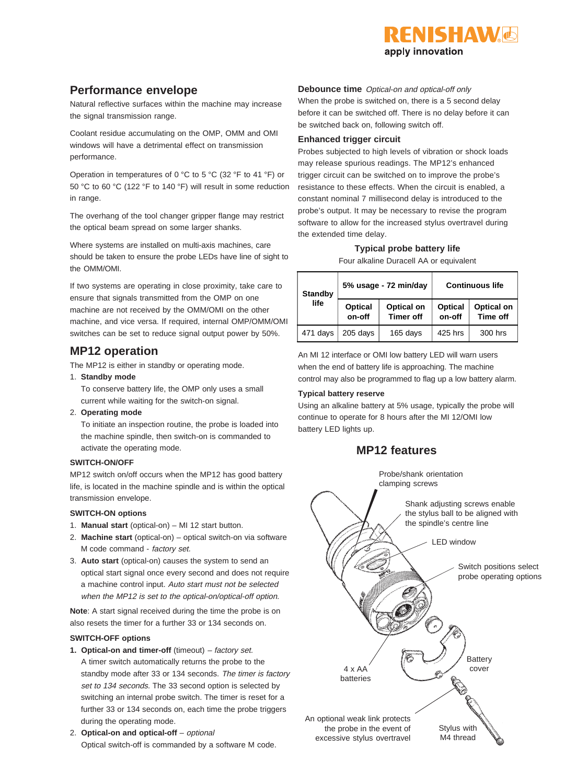

# **Performance envelope**

Natural reflective surfaces within the machine may increase the signal transmission range.

Coolant residue accumulating on the OMP, OMM and OMI windows will have a detrimental effect on transmission performance.

Operation in temperatures of 0 °C to 5 °C (32 °F to 41 °F) or 50 °C to 60 °C (122 °F to 140 °F) will result in some reduction in range.

The overhang of the tool changer gripper flange may restrict the optical beam spread on some larger shanks.

Where systems are installed on multi-axis machines, care should be taken to ensure the probe LEDs have line of sight to the OMM/OMI.

If two systems are operating in close proximity, take care to ensure that signals transmitted from the OMP on one machine are not received by the OMM/OMI on the other machine, and vice versa. If required, internal OMP/OMM/OMI switches can be set to reduce signal output power by 50%.

# **MP12 operation**

The MP12 is either in standby or operating mode.

- 1. **Standby mode**
	- To conserve battery life, the OMP only uses a small current while waiting for the switch-on signal.
- 2. **Operating mode**

To initiate an inspection routine, the probe is loaded into the machine spindle, then switch-on is commanded to activate the operating mode.

#### **SWITCH-ON/OFF**

MP12 switch on/off occurs when the MP12 has good battery life, is located in the machine spindle and is within the optical transmission envelope.

#### **SWITCH-ON options**

- 1. **Manual start** (optical-on) MI 12 start button.
- 2. **Machine start** (optical-on) optical switch-on via software M code command - factory set.
- 3. **Auto start** (optical-on) causes the system to send an optical start signal once every second and does not require a machine control input. Auto start must not be selected when the MP12 is set to the optical-on/optical-off option.

**Note:** A start signal received during the time the probe is on also resets the timer for a further 33 or 134 seconds on.

#### **SWITCH-OFF options**

- **1. Optical-on and timer-off** (timeout) factory set. A timer switch automatically returns the probe to the standby mode after 33 or 134 seconds. The timer is factory set to 134 seconds. The 33 second option is selected by switching an internal probe switch. The timer is reset for a further 33 or 134 seconds on, each time the probe triggers during the operating mode.
- 2. **Optical-on and optical-off** optional Optical switch-off is commanded by a software M code.

**Debounce time** Optical-on and optical-off only When the probe is switched on, there is a 5 second delay before it can be switched off. There is no delay before it can be switched back on, following switch off.

#### **Enhanced trigger circuit**

Probes subjected to high levels of vibration or shock loads may release spurious readings. The MP12's enhanced trigger circuit can be switched on to improve the probe's resistance to these effects. When the circuit is enabled, a constant nominal 7 millisecond delay is introduced to the probe's output. It may be necessary to revise the program software to allow for the increased stylus overtravel during the extended time delay.

#### **Typical probe battery life** Four alkaline Duracell AA or equivalent

| <b>Standby</b> |                   | 5% usage - 72 min/day          | <b>Continuous life</b> |                               |
|----------------|-------------------|--------------------------------|------------------------|-------------------------------|
| life           | Optical<br>on-off | Optical on<br><b>Timer off</b> | Optical<br>on-off      | Optical on<br><b>Time off</b> |
| 471 days       | 205 days          | 165 days                       | 425 hrs                | 300 hrs                       |

An MI 12 interface or OMI low battery LED will warn users when the end of battery life is approaching. The machine control may also be programmed to flag up a low battery alarm.

#### **Typical battery reserve**

Using an alkaline battery at 5% usage, typically the probe will continue to operate for 8 hours after the MI 12/OMI low battery LED lights up.

# **MP12 features**